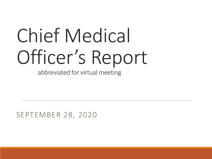# Chief Medical Officer's Report

abbreviated for virtual meeting

SEPTEMBER 28, 2020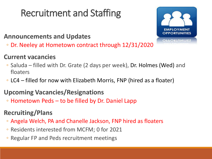## Recruitment and Staffing

## **OPPORTUNITIES** 50K LA

#### **Announcements and Updates**

◦ Dr. Neeley at Hometown contract through 12/31/2020

#### **Current vacancies**

- Saluda filled with Dr. Grate (2 days per week), Dr. Holmes (Wed) and floaters
- LC4 filled for now with Elizabeth Morris, FNP (hired as a floater)

#### **Upcoming Vacancies/Resignations**

◦ Hometown Peds – to be filled by Dr. Daniel Lapp

### **Recruiting/Plans**

- Angela Welch, PA and Chanelle Jackson, FNP hired as floaters
- Residents interested from MCFM; 0 for 2021
- Regular FP and Peds recruitment meetings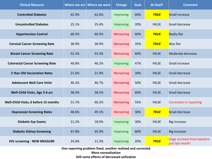| <b>Clinical Measure</b>                 |       | Where we are $ $ Where we were | <b>Change</b>    | Goal | <b>At Goal?</b> | <b>Comment</b>                                 |
|-----------------------------------------|-------|--------------------------------|------------------|------|-----------------|------------------------------------------------|
| <b>Controlled Diabetes</b>              | 62.9% | 62.6%                          | Improving        | 60%  | <b>TRUE</b>     | <b>Small increase</b>                          |
| <b>Uncontrolled Diabetes</b>            | 25.1% | 25.4%                          | Improving        | 20%  | <b>FALSE</b>    | Small decrease                                 |
| <b>Hypertension Control</b>             | 60.5% | 60.5%                          | Worsening        | 60%  | <b>TRUE</b>     | <b>Really flat</b>                             |
| <b>Cervical Cancer Screening Rate</b>   | 38.9% | 38.9%                          | <b>Worsening</b> | 35%  | <b>TRUE</b>     | Also flat                                      |
| <b>Breast Cancer Screening Rate</b>     | 52.5% | 53.3%                          | Worsening        | 60%  | <b>FALSE</b>    | Moderate decrease                              |
| <b>Colorectal Cancer Screening Rate</b> | 46.8% | 46.2%                          | Improving        | 47%  | <b>FALSE</b>    | Small increase                                 |
| 2 Year Old Vaccination Rates            | 21.6% | 21.9%                          | Worsening        | 30%  | <b>FALSE</b>    | Small decrease                                 |
| <b>Adolescent Well-Care Visits</b>      | 46.2% | 46.7%                          | <b>Worsening</b> | 50%  | <b>FALSE</b>    | Small decrease                                 |
| Well-Child Visits, Age 3-6 yrs          | 58.3% | 58.5%                          | Worsening        | 60%  | <b>FALSE</b>    | Small decrease                                 |
| Well-Child Visits, 6 before 15 months   | 51.7% | 60.2%                          | <b>Worsening</b> | 55%  | <b>FALSE</b>    | Correction in reporting                        |
| <b>Depression Screening Rates</b>       | 48.6% | 49.1%                          | <b>Worsening</b> | 30%  | <b>TRUE</b>     | Small decrease                                 |
| <b>Diabetic Eye Exams</b>               | 21.2% | 18.9%                          | Improving        | 30%  | <b>FALSE</b>    | <b>Big increase</b>                            |
| <b>Diabetic Kidney Screening</b>        | 67.8% | 65.9%                          | Improving        | 80%  | <b>FALSE</b>    | <b>Big increase</b>                            |
| <b>HIV screening - NEW MEASURE</b>      | 24.0% | 11.3%                          | Improving        | 20%  | <b>TRUE</b>     | Huge increase from baseline<br>just last month |

**One reporting problem fixed, another realized and corrected More normalization Still some effects of decreased utilization**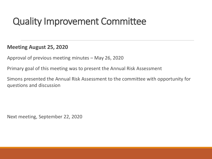## Quality Improvement Committee

**Meeting August 25, 2020**

Approval of previous meeting minutes – May 26, 2020

Primary goal of this meeting was to present the Annual Risk Assessment

Simons presented the Annual Risk Assessment to the committee with opportunity for questions and discussion

Next meeting, September 22, 2020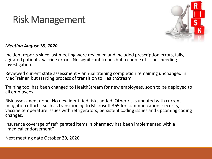## Risk Management



#### *Meeting August 18, 2020*

Incident reports since last meeting were reviewed and included prescription errors, falls, agitated patients, vaccine errors. No significant trends but a couple of issues needing investigation.

Reviewed current state assessment – annual training completion remaining unchanged in MedTrainer, but starting process of transition to HealthStream.

Training tool has been changed to HealthStream for new employees, soon to be deployed to all employees

Risk assessment done. No new identified risks added. Other risks updated with current mitigation efforts, such as transitioning to Microsoft 365 for communications security, vaccine temperature issues with refrigerators, persistent coding issues and upcoming coding changes.

Insurance coverage of refrigerated items in pharmacy has been implemented with a "medical endorsement".

Next meeting date October 20, 2020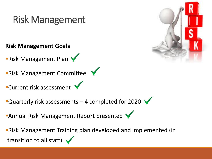## Risk Management

**Risk Management Goals**

**Risk Management Plan V** 

**Risk Management Committee** 

**Current risk assessment** 

Quarterly risk assessments  $-$  4 completed for 2020  $\sqrt$ 

**Annual Risk Management Report presented** 

Risk Management Training plan developed and implemented (in transition to all staff)  $\blacktriangleright$